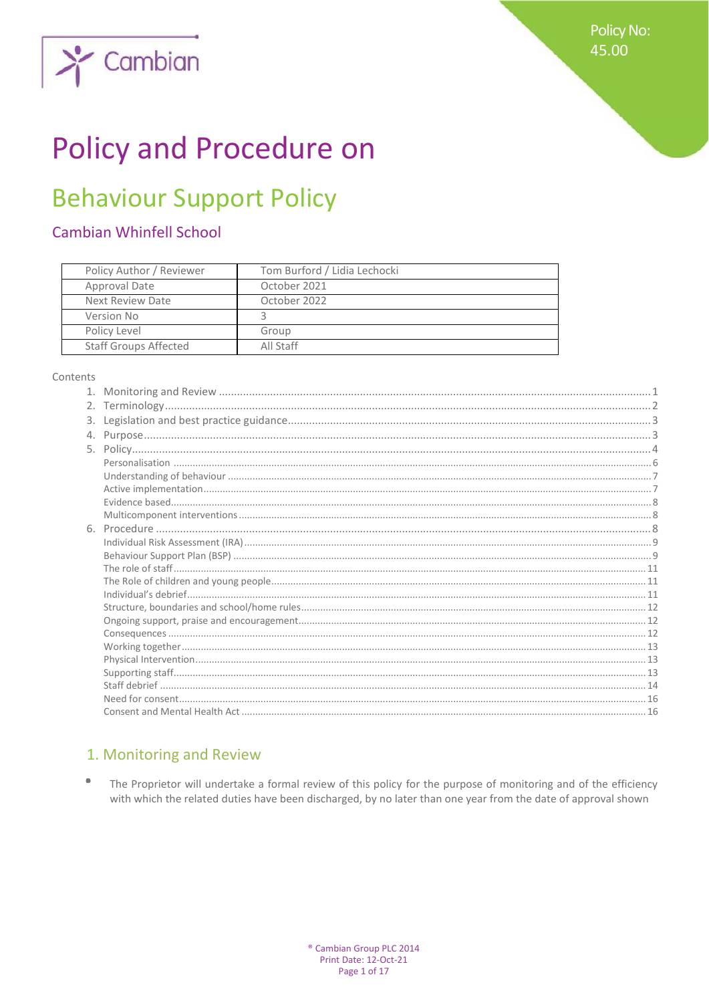

# **Policy and Procedure on**

## **Behaviour Support Policy**

## **Cambian Whinfell School**

| Policy Author / Reviewer     | Tom Burford / Lidia Lechocki |
|------------------------------|------------------------------|
| Approval Date                | October 2021                 |
| Next Review Date             | October 2022                 |
| Version No                   |                              |
| Policy Level                 | Group                        |
| <b>Staff Groups Affected</b> | All Staff                    |

### Contents

## 1. Monitoring and Review

 $\qquad \qquad \bullet$ The Proprietor will undertake a formal review of this policy for the purpose of monitoring and of the efficiency with which the related duties have been discharged, by no later than one year from the date of approval shown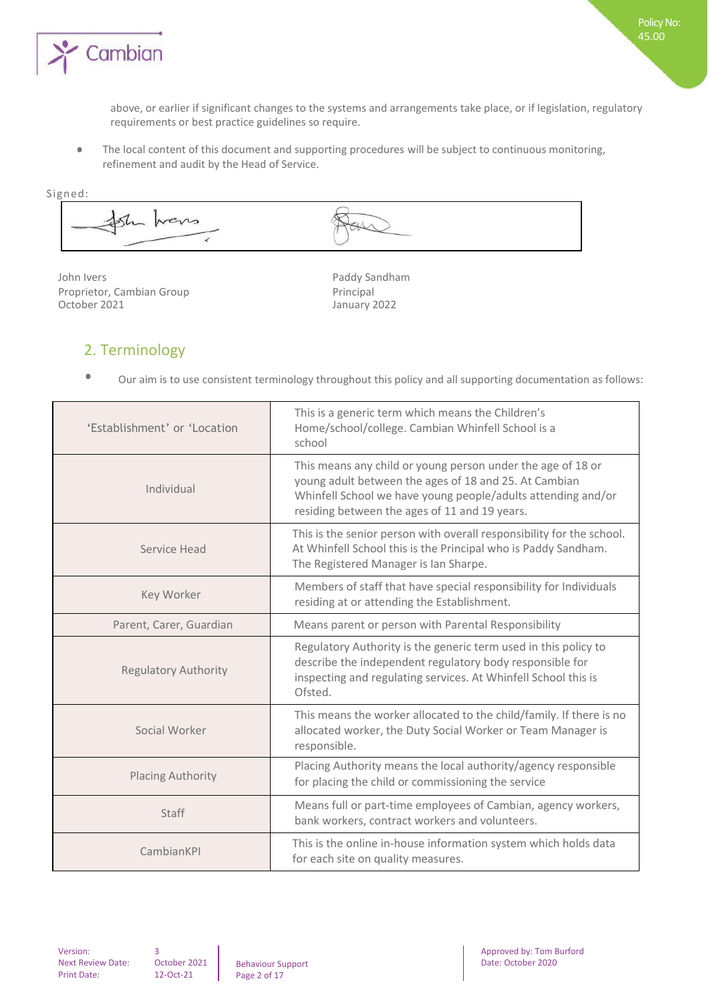

above, or earlier if significant changes to the systems and arrangements take place, or if legislation, regulatory requirements or best practice guidelines so require.

Policy No: 45.00

The local content of this document and supporting procedures will be subject to continuous monitoring,  $\bullet$ refinement and audit by the Head of Service.

Signed: wers i

John Ivers **Paddy Sandham** Proprietor, Cambian Group Principal<br>
October 2021 **Principal** 

January 2022

## 2. Terminology

 $\bullet$ Our aim is to use consistent terminology throughout this policy and all supporting documentation as follows:

| 'Establishment' or 'Location | This is a generic term which means the Children's<br>Home/school/college. Cambian Whinfell School is a<br>school                                                                                                                      |
|------------------------------|---------------------------------------------------------------------------------------------------------------------------------------------------------------------------------------------------------------------------------------|
| Individual                   | This means any child or young person under the age of 18 or<br>young adult between the ages of 18 and 25. At Cambian<br>Whinfell School we have young people/adults attending and/or<br>residing between the ages of 11 and 19 years. |
| Service Head                 | This is the senior person with overall responsibility for the school.<br>At Whinfell School this is the Principal who is Paddy Sandham.<br>The Registered Manager is Ian Sharpe.                                                      |
| Key Worker                   | Members of staff that have special responsibility for Individuals<br>residing at or attending the Establishment.                                                                                                                      |
| Parent, Carer, Guardian      | Means parent or person with Parental Responsibility                                                                                                                                                                                   |
| <b>Regulatory Authority</b>  | Regulatory Authority is the generic term used in this policy to<br>describe the independent regulatory body responsible for<br>inspecting and regulating services. At Whinfell School this is<br>Ofsted.                              |
| Social Worker                | This means the worker allocated to the child/family. If there is no<br>allocated worker, the Duty Social Worker or Team Manager is<br>responsible.                                                                                    |
| <b>Placing Authority</b>     | Placing Authority means the local authority/agency responsible<br>for placing the child or commissioning the service                                                                                                                  |
| <b>Staff</b>                 | Means full or part-time employees of Cambian, agency workers,<br>bank workers, contract workers and volunteers.                                                                                                                       |
| CambianKPI                   | This is the online in-house information system which holds data<br>for each site on quality measures.                                                                                                                                 |

Version: Next Review Date: Print Date:

October 2021 12-Oct-21

3

Behaviour Support Page 2 of 17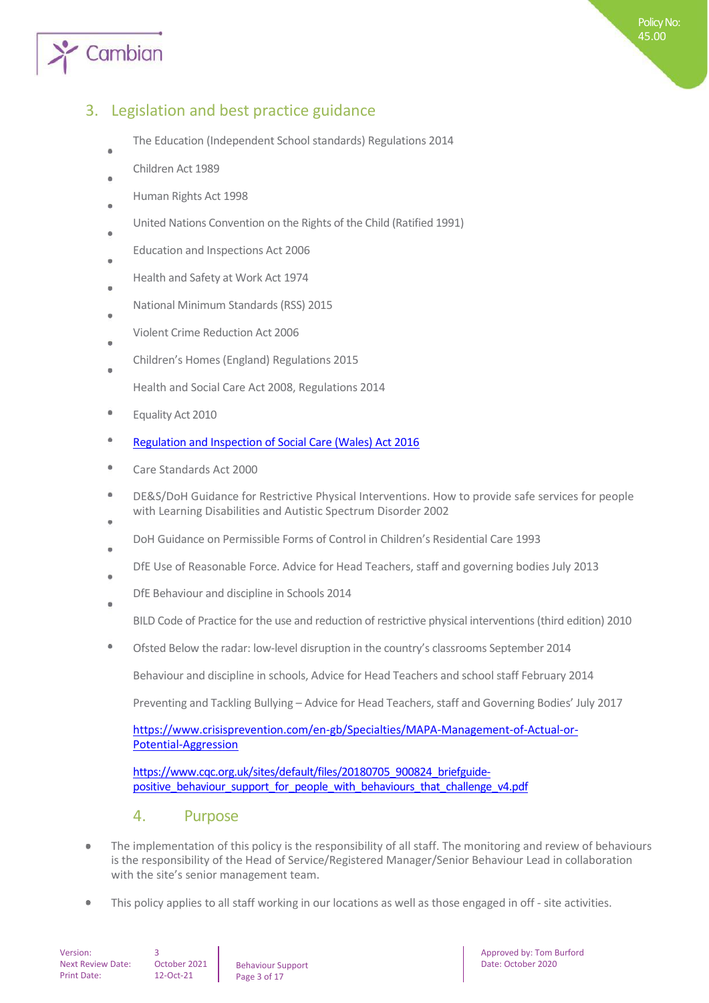

## 3. Legislation and best practice guidance

- The Education (Independent School standards) Regulations 2014
- Children Act 1989
- Human Rights Act 1998
- United Nations Convention on the Rights of the Child (Ratified 1991)
- Education and Inspections Act 2006
- Health and Safety at Work Act 1974
- National Minimum Standards (RSS) 2015
- Violent Crime Reduction Act 2006
- Children's Homes (England) Regulations 2015 ò
	- Health and Social Care Act 2008, Regulations 2014
- ۰ Equality Act 2010
- ė [Regulation and Inspection of Social Care \(Wales\) Act 2016](http://www.senedd.assembly.wales/mgIssueHistoryHome.aspx?IId=12110)
- ó Care Standards Act 2000
- DE&S/DoH Guidance for Restrictive Physical Interventions. How to provide safe services for people with Learning Disabilities and Autistic Spectrum Disorder 2002
- DoH Guidance on Permissible Forms of Control in Children's Residential Care 1993
- DfE Use of Reasonable Force. Advice for Head Teachers, staff and governing bodies July 2013
- DfE Behaviour and discipline in Schools 2014 ä
	- BILD Code of Practice for the use and reduction of restrictive physical interventions (third edition) 2010
- Ofsted Below the radar: low-level disruption in the country's classrooms September 2014

Behaviour and discipline in schools, Advice for Head Teachers and school staff February 2014

Preventing and Tackling Bullying – Advice for Head Teachers, staff and Governing Bodies' July 2017

[https://www.crisisprevention.com/en-gb/Specialties/MAPA-Management-of-Actual-or-](https://www.crisisprevention.com/en-gb/Specialties/MAPA-Management-of-Actual-or-Potential-Aggression)[Potential-Aggression](https://www.crisisprevention.com/en-gb/Specialties/MAPA-Management-of-Actual-or-Potential-Aggression)

[https://www.cqc.org.uk/sites/default/files/20180705\\_900824\\_briefguide](https://www.cqc.org.uk/sites/default/files/20180705_900824_briefguide-positive_behaviour_support_for_people_with_behaviours_that_challenge_v4.pdf)positive behaviour support for people with behaviours that challenge v4.pdf

## 4. Purpose

- The implementation of this policy is the responsibility of all staff. The monitoring and review of behaviours  $\bullet$ is the responsibility of the Head of Service/Registered Manager/Senior Behaviour Lead in collaboration with the site's senior management team.
- This policy applies to all staff working in our locations as well as those engaged in off site activities.

Version: Next Review Date: Print Date:

Behaviour Support Page 3 of 17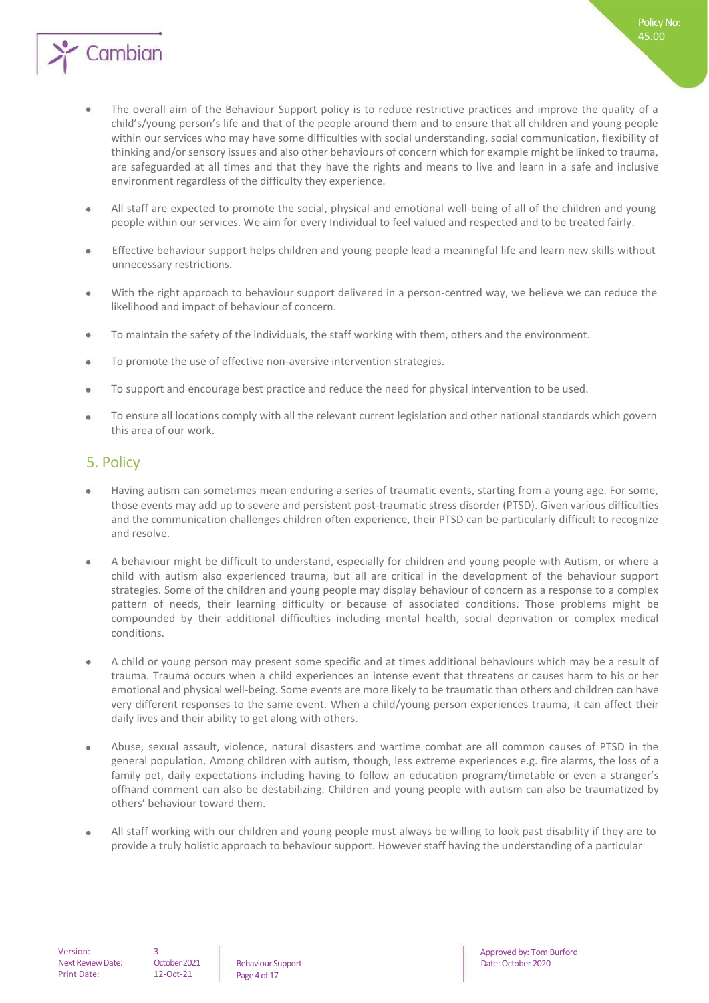

The overall aim of the Behaviour Support policy is to reduce restrictive practices and improve the quality of a child's/young person's life and that of the people around them and to ensure that all children and young people within our services who may have some difficulties with social understanding, social communication, flexibility of thinking and/or sensory issues and also other behaviours of concern which for example might be linked to trauma, are safeguarded at all times and that they have the rights and means to live and learn in a safe and inclusive environment regardless of the difficulty they experience.

Policy No: 45.00

- All staff are expected to promote the social, physical and emotional well-being of all of the children and young  $\bullet$ people within our services. We aim for every Individual to feel valued and respected and to be treated fairly.
- Effective behaviour support helps children and young people lead a meaningful life and learn new skills without unnecessary restrictions.
- $\ddot{\phantom{a}}$ With the right approach to behaviour support delivered in a person-centred way, we believe we can reduce the likelihood and impact of behaviour of concern.
- To maintain the safety of the individuals, the staff working with them, others and the environment.  $\bullet$
- To promote the use of effective non-aversive intervention strategies.  $\bullet$
- To support and encourage best practice and reduce the need for physical intervention to be used.  $\bullet$
- To ensure all locations comply with all the relevant current legislation and other national standards which govern  $\bullet$ this area of our work.

## 5. Policy

- Having autism can sometimes mean enduring a series of traumatic events, starting from a young age. For some, those events may add up to severe and persistent post-traumatic stress disorder (PTSD). Given various difficulties and the communication challenges children often experience, their PTSD can be particularly difficult to recognize and resolve.
- A behaviour might be difficult to understand, especially for children and young people with Autism, or where a child with autism also experienced trauma, but all are critical in the development of the behaviour support strategies. Some of the children and young people may display behaviour of concern as a response to a complex pattern of needs, their learning difficulty or because of associated conditions. Those problems might be compounded by their additional difficulties including mental health, social deprivation or complex medical conditions.
- A child or young person may present some specific and at times additional behaviours which may be a result of trauma. Trauma occurs when a child experiences an intense event that threatens or causes harm to his or her emotional and physical well-being. Some events are more likely to be traumatic than others and children can have very different responses to the same event. When a child/young person experiences trauma, it can affect their daily lives and their ability to get along with others.
- Abuse, sexual assault, violence, natural disasters and wartime combat are all common causes of PTSD in the general population. Among children with autism, though, less extreme experiences e.g. fire alarms, the loss of a family pet, daily expectations including having to follow an education program/timetable or even a stranger's offhand comment can also be destabilizing. Children and young people with autism can also be traumatized by others' behaviour toward them.
- All staff working with our children and young people must always be willing to look past disability if they are to provide a truly holistic approach to behaviour support. However staff having the understanding of a particular

October 2021 12-Oct-21

Page 4 of 17 Behaviour Support

Date: October 2020 **3** Approved by: Tom Burford **by: Tom Burford**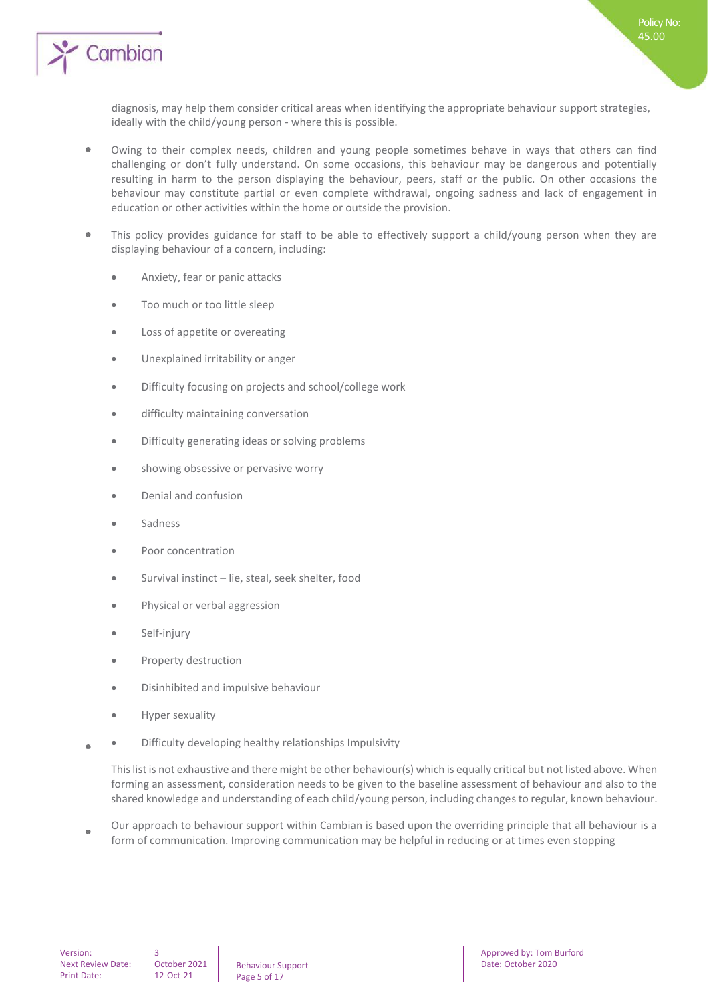

diagnosis, may help them consider critical areas when identifying the appropriate behaviour support strategies, ideally with the child/young person - where this is possible.

- $\bullet$ Owing to their complex needs, children and young people sometimes behave in ways that others can find challenging or don't fully understand. On some occasions, this behaviour may be dangerous and potentially resulting in harm to the person displaying the behaviour, peers, staff or the public. On other occasions the behaviour may constitute partial or even complete withdrawal, ongoing sadness and lack of engagement in education or other activities within the home or outside the provision.
- This policy provides guidance for staff to be able to effectively support a child/young person when they are  $\bullet$ displaying behaviour of a concern, including:
	- Anxiety, fear or panic attacks
	- Too much or too little sleep
	- Loss of appetite or overeating
	- Unexplained irritability or anger
	- Difficulty focusing on projects and school/college work
	- difficulty maintaining conversation
	- Difficulty generating ideas or solving problems
	- showing obsessive or pervasive worry
	- Denial and confusion
	- Sadness
	- Poor concentration
	- Survival instinct lie, steal, seek shelter, food
	- Physical or verbal aggression
	- Self-injury
	- Property destruction
	- Disinhibited and impulsive behaviour
	- Hyper sexuality
- Difficulty developing healthy relationships Impulsivity  $\bullet$

This list is not exhaustive and there might be other behaviour(s) which is equally critical but not listed above. When forming an assessment, consideration needs to be given to the baseline assessment of behaviour and also to the shared knowledge and understanding of each child/young person, including changes to regular, known behaviour.

Our approach to behaviour support within Cambian is based upon the overriding principle that all behaviour is a form of communication. Improving communication may be helpful in reducing or at times even stopping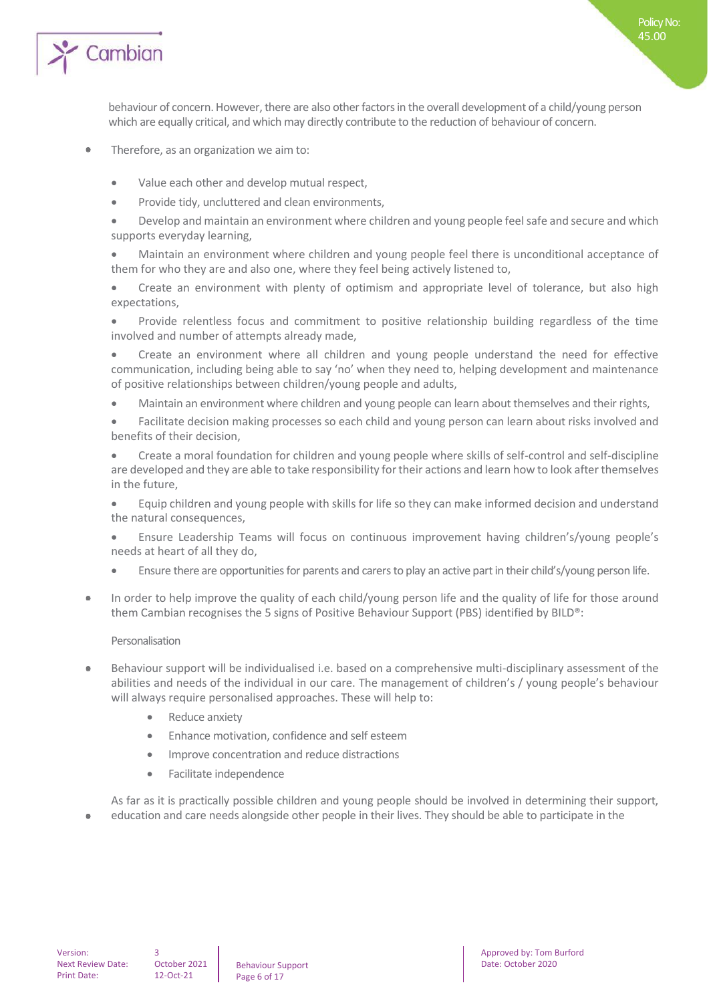

behaviour of concern. However, there are also other factors in the overall development of a child/young person which are equally critical, and which may directly contribute to the reduction of behaviour of concern.

Policy No: 45.00

- Therefore, as an organization we aim to:  $\bullet$ 
	- Value each other and develop mutual respect,
	- Provide tidy, uncluttered and clean environments,
	- Develop and maintain an environment where children and young people feel safe and secure and which supports everyday learning,
	- Maintain an environment where children and young people feel there is unconditional acceptance of them for who they are and also one, where they feel being actively listened to,
	- Create an environment with plenty of optimism and appropriate level of tolerance, but also high expectations,
	- Provide relentless focus and commitment to positive relationship building regardless of the time involved and number of attempts already made,
	- Create an environment where all children and young people understand the need for effective communication, including being able to say 'no' when they need to, helping development and maintenance of positive relationships between children/young people and adults,
	- Maintain an environment where children and young people can learn about themselves and their rights,
	- Facilitate decision making processes so each child and young person can learn about risks involved and benefits of their decision,
	- Create a moral foundation for children and young people where skills of self-control and self-discipline are developed and they are able to take responsibility for their actions and learn how to look after themselves in the future,
	- Equip children and young people with skills for life so they can make informed decision and understand the natural consequences,
	- Ensure Leadership Teams will focus on continuous improvement having children's/young people's needs at heart of all they do,
	- Ensure there are opportunities for parents and carers to play an active part in their child's/young person life.
- In order to help improve the quality of each child/young person life and the quality of life for those around  $\otimes$ them Cambian recognises the 5 signs of Positive Behaviour Support (PBS) identified by BILD®:

## Personalisation

- Behaviour support will be individualised i.e. based on a comprehensive multi-disciplinary assessment of the abilities and needs of the individual in our care. The management of children's / young people's behaviour will always require personalised approaches. These will help to:
	- Reduce anxiety
	- Enhance motivation, confidence and self esteem
	- Improve concentration and reduce distractions
	- Facilitate independence

As far as it is practically possible children and young people should be involved in determining their support, education and care needs alongside other people in their lives. They should be able to participate in the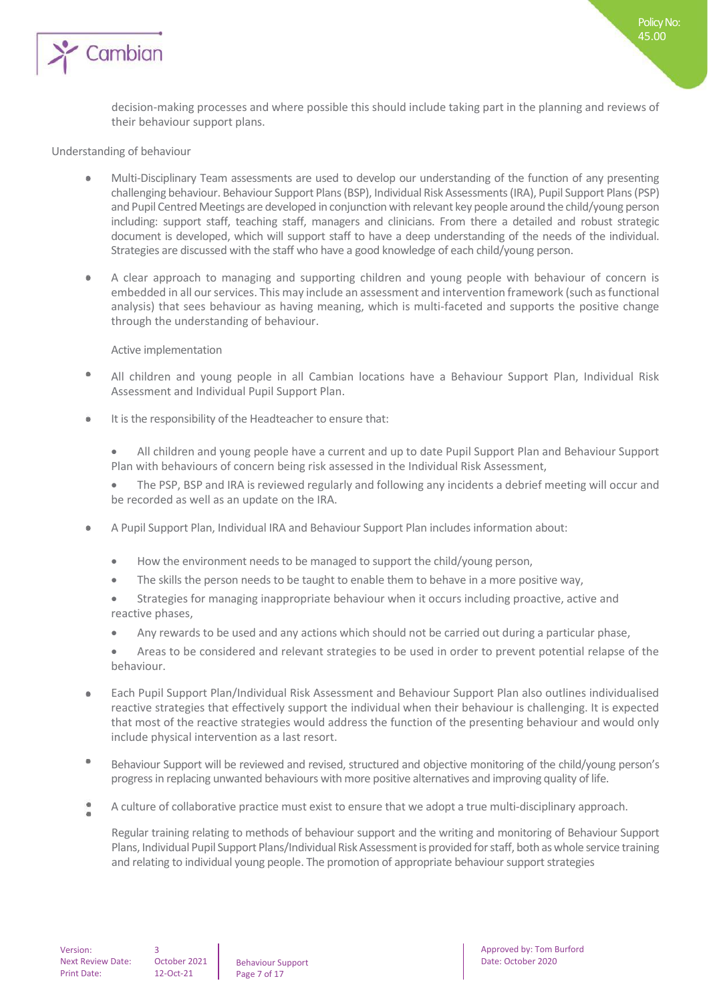

decision-making processes and where possible this should include taking part in the planning and reviews of their behaviour support plans.

Policy No: 45.00

## Understanding of behaviour

- Multi-Disciplinary Team assessments are used to develop our understanding of the function of any presenting challenging behaviour. Behaviour Support Plans (BSP), Individual Risk Assessments (IRA), Pupil Support Plans (PSP) and Pupil Centred Meetings are developed in conjunction with relevant key people around the child/young person including: support staff, teaching staff, managers and clinicians. From there a detailed and robust strategic document is developed, which will support staff to have a deep understanding of the needs of the individual. Strategies are discussed with the staff who have a good knowledge of each child/young person.
- $\ddot{\phantom{a}}$ A clear approach to managing and supporting children and young people with behaviour of concern is embedded in all our services. This may include an assessment and intervention framework (such as functional analysis) that sees behaviour as having meaning, which is multi-faceted and supports the positive change through the understanding of behaviour.

#### Active implementation

- $\bullet$ All children and young people in all Cambian locations have a Behaviour Support Plan, Individual Risk Assessment and Individual Pupil Support Plan.
- $\ddot{\phantom{a}}$ It is the responsibility of the Headteacher to ensure that:
	- All children and young people have a current and up to date Pupil Support Plan and Behaviour Support Plan with behaviours of concern being risk assessed in the Individual Risk Assessment,
	- The PSP, BSP and IRA is reviewed regularly and following any incidents a debrief meeting will occur and be recorded as well as an update on the IRA.
- $\bullet$ A Pupil Support Plan, Individual IRA and Behaviour Support Plan includes information about:
	- How the environment needs to be managed to support the child/young person,
	- The skills the person needs to be taught to enable them to behave in a more positive way,
	- Strategies for managing inappropriate behaviour when it occurs including proactive, active and reactive phases,
	- Any rewards to be used and any actions which should not be carried out during a particular phase,
	- Areas to be considered and relevant strategies to be used in order to prevent potential relapse of the behaviour.
- Each Pupil Support Plan/Individual Risk Assessment and Behaviour Support Plan also outlines individualised  $\bullet$ reactive strategies that effectively support the individual when their behaviour is challenging. It is expected that most of the reactive strategies would address the function of the presenting behaviour and would only include physical intervention as a last resort.
- $\bullet$ Behaviour Support will be reviewed and revised, structured and objective monitoring of the child/young person's progress in replacing unwanted behaviours with more positive alternatives and improving quality of life.
- A culture of collaborative practice must exist to ensure that we adopt a true multi-disciplinary approach.

Regular training relating to methods of behaviour support and the writing and monitoring of Behaviour Support Plans, Individual Pupil Support Plans/Individual Risk Assessment is provided for staff, both as whole service training and relating to individual young people. The promotion of appropriate behaviour support strategies

Behaviour Support Page 7 of 17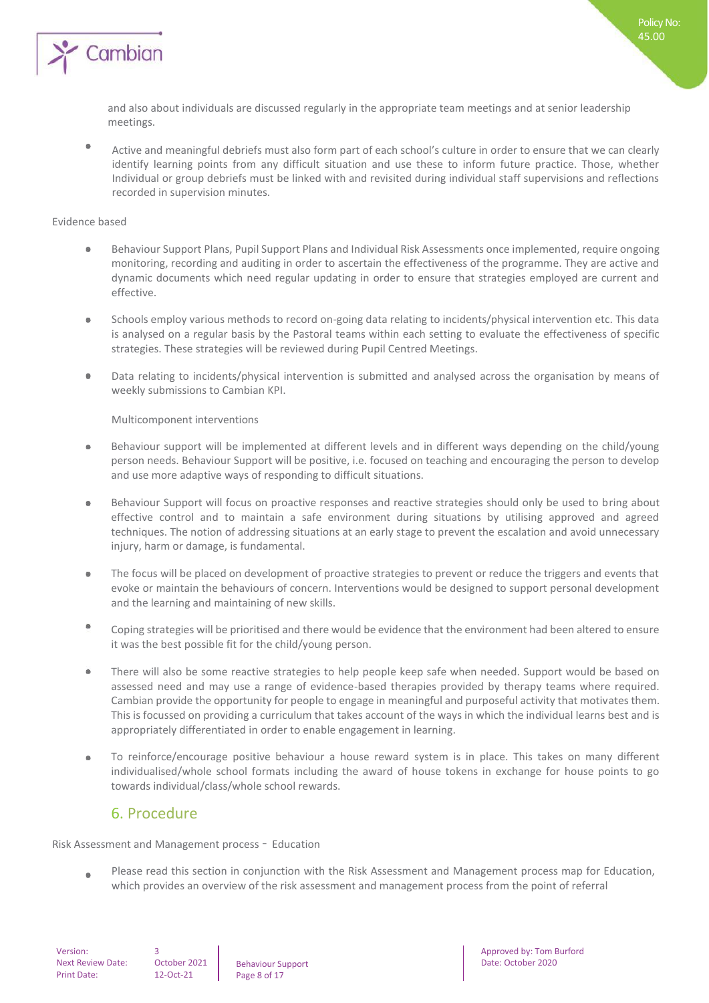

and also about individuals are discussed regularly in the appropriate team meetings and at senior leadership meetings.

۰ Active and meaningful debriefs must also form part of each school's culture in order to ensure that we can clearly identify learning points from any difficult situation and use these to inform future practice. Those, whether Individual or group debriefs must be linked with and revisited during individual staff supervisions and reflections recorded in supervision minutes.

#### Evidence based

- Behaviour Support Plans, Pupil Support Plans and Individual Risk Assessments once implemented, require ongoing  $\ddot{\phantom{a}}$ monitoring, recording and auditing in order to ascertain the effectiveness of the programme. They are active and dynamic documents which need regular updating in order to ensure that strategies employed are current and effective.
- $\bullet$ Schools employ various methods to record on-going data relating to incidents/physical intervention etc. This data is analysed on a regular basis by the Pastoral teams within each setting to evaluate the effectiveness of specific strategies. These strategies will be reviewed during Pupil Centred Meetings.
- Data relating to incidents/physical intervention is submitted and analysed across the organisation by means of  $\bullet$ weekly submissions to Cambian KPI.

Multicomponent interventions

- Behaviour support will be implemented at different levels and in different ways depending on the child/young  $\bullet$ person needs. Behaviour Support will be positive, i.e. focused on teaching and encouraging the person to develop and use more adaptive ways of responding to difficult situations.
- $\bullet$ Behaviour Support will focus on proactive responses and reactive strategies should only be used to bring about effective control and to maintain a safe environment during situations by utilising approved and agreed techniques. The notion of addressing situations at an early stage to prevent the escalation and avoid unnecessary injury, harm or damage, is fundamental.
- The focus will be placed on development of proactive strategies to prevent or reduce the triggers and events that  $\bullet$ evoke or maintain the behaviours of concern. Interventions would be designed to support personal development and the learning and maintaining of new skills.
- ۰ Coping strategies will be prioritised and there would be evidence that the environment had been altered to ensure it was the best possible fit for the child/young person.
- There will also be some reactive strategies to help people keep safe when needed. Support would be based on  $\bullet$ assessed need and may use a range of evidence-based therapies provided by therapy teams where required. Cambian provide the opportunity for people to engage in meaningful and purposeful activity that motivates them. This is focussed on providing a curriculum that takes account of the ways in which the individual learns best and is appropriately differentiated in order to enable engagement in learning.
- To reinforce/encourage positive behaviour a house reward system is in place. This takes on many different  $\bullet$ individualised/whole school formats including the award of house tokens in exchange for house points to go towards individual/class/whole school rewards.

## 6. Procedure

Risk Assessment and Management process – Education

Please read this section in conjunction with the Risk Assessment and Management process map for Education,  $\bullet$ which provides an overview of the risk assessment and management process from the point of referral

Version: Next Review Date: Print Date:

3 October 2021 12-Oct-21

Behaviour Support Page 8 of 17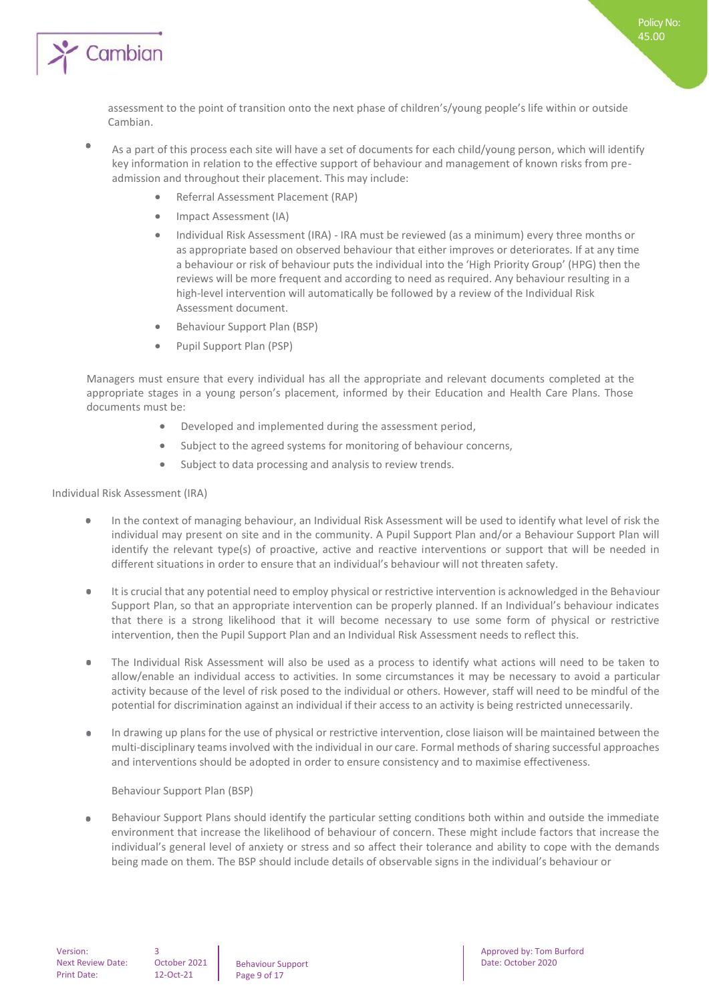

- ٠ As a part of this process each site will have a set of documents for each child/young person, which will identify key information in relation to the effective support of behaviour and management of known risks from preadmission and throughout their placement. This may include:
	- Referral Assessment Placement (RAP)
	- Impact Assessment (IA)
	- Individual Risk Assessment (IRA) IRA must be reviewed (as a minimum) every three months or as appropriate based on observed behaviour that either improves or deteriorates. If at any time a behaviour or risk of behaviour puts the individual into the 'High Priority Group' (HPG) then the reviews will be more frequent and according to need as required. Any behaviour resulting in a high-level intervention will automatically be followed by a review of the Individual Risk Assessment document.
	- Behaviour Support Plan (BSP)
	- Pupil Support Plan (PSP)

Managers must ensure that every individual has all the appropriate and relevant documents completed at the appropriate stages in a young person's placement, informed by their Education and Health Care Plans. Those documents must be:

- Developed and implemented during the assessment period,
- Subject to the agreed systems for monitoring of behaviour concerns,
- Subject to data processing and analysis to review trends.

## Individual Risk Assessment (IRA)

- In the context of managing behaviour, an Individual Risk Assessment will be used to identify what level of risk the  $\bullet$ individual may present on site and in the community. A Pupil Support Plan and/or a Behaviour Support Plan will identify the relevant type(s) of proactive, active and reactive interventions or support that will be needed in different situations in order to ensure that an individual's behaviour will not threaten safety.
- It is crucial that any potential need to employ physical or restrictive intervention is acknowledged in the Behaviour Support Plan, so that an appropriate intervention can be properly planned. If an Individual's behaviour indicates that there is a strong likelihood that it will become necessary to use some form of physical or restrictive intervention, then the Pupil Support Plan and an Individual Risk Assessment needs to reflect this.
- The Individual Risk Assessment will also be used as a process to identify what actions will need to be taken to allow/enable an individual access to activities. In some circumstances it may be necessary to avoid a particular activity because of the level of risk posed to the individual or others. However, staff will need to be mindful of the potential for discrimination against an individual if their access to an activity is being restricted unnecessarily.
- $\bullet$ In drawing up plans for the use of physical or restrictive intervention, close liaison will be maintained between the multi-disciplinary teams involved with the individual in our care. Formal methods of sharing successful approaches and interventions should be adopted in order to ensure consistency and to maximise effectiveness.

## Behaviour Support Plan (BSP)

Behaviour Support Plans should identify the particular setting conditions both within and outside the immediate  $\bullet$ environment that increase the likelihood of behaviour of concern. These might include factors that increase the individual's general level of anxiety or stress and so affect their tolerance and ability to cope with the demands being made on them. The BSP should include details of observable signs in the individual's behaviour or

3

Behaviour Support Page 9 of 17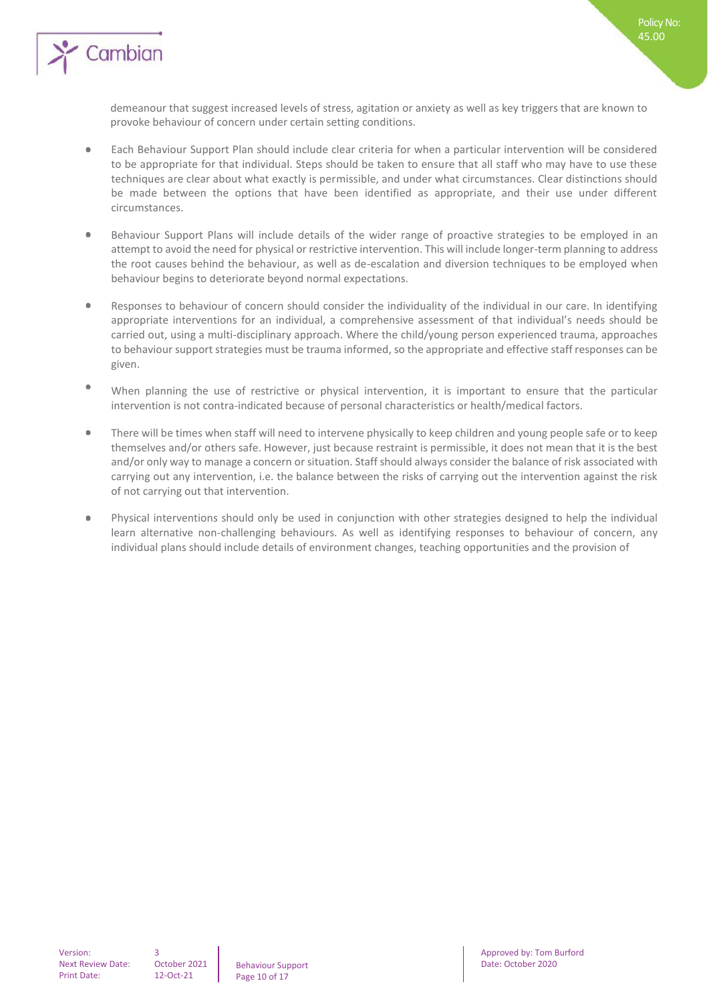

demeanour that suggest increased levels of stress, agitation or anxiety as well as key triggers that are known to provoke behaviour of concern under certain setting conditions.

Policy No: 45.00

- $\bullet$ Each Behaviour Support Plan should include clear criteria for when a particular intervention will be considered to be appropriate for that individual. Steps should be taken to ensure that all staff who may have to use these techniques are clear about what exactly is permissible, and under what circumstances. Clear distinctions should be made between the options that have been identified as appropriate, and their use under different circumstances.
- $\bullet$ Behaviour Support Plans will include details of the wider range of proactive strategies to be employed in an attempt to avoid the need for physical or restrictive intervention. This will include longer-term planning to address the root causes behind the behaviour, as well as de-escalation and diversion techniques to be employed when behaviour begins to deteriorate beyond normal expectations.
- $\bullet$ Responses to behaviour of concern should consider the individuality of the individual in our care. In identifying appropriate interventions for an individual, a comprehensive assessment of that individual's needs should be carried out, using a multi-disciplinary approach. Where the child/young person experienced trauma, approaches to behaviour support strategies must be trauma informed, so the appropriate and effective staff responses can be given.
- $\bullet$ When planning the use of restrictive or physical intervention, it is important to ensure that the particular intervention is not contra-indicated because of personal characteristics or health/medical factors.
- There will be times when staff will need to intervene physically to keep children and young people safe or to keep themselves and/or others safe. However, just because restraint is permissible, it does not mean that it is the best and/or only way to manage a concern or situation. Staff should always consider the balance of risk associated with carrying out any intervention, i.e. the balance between the risks of carrying out the intervention against the risk of not carrying out that intervention.
- $\Phi$ Physical interventions should only be used in conjunction with other strategies designed to help the individual learn alternative non-challenging behaviours. As well as identifying responses to behaviour of concern, any individual plans should include details of environment changes, teaching opportunities and the provision of

3

Behaviour Support Page 10 of 17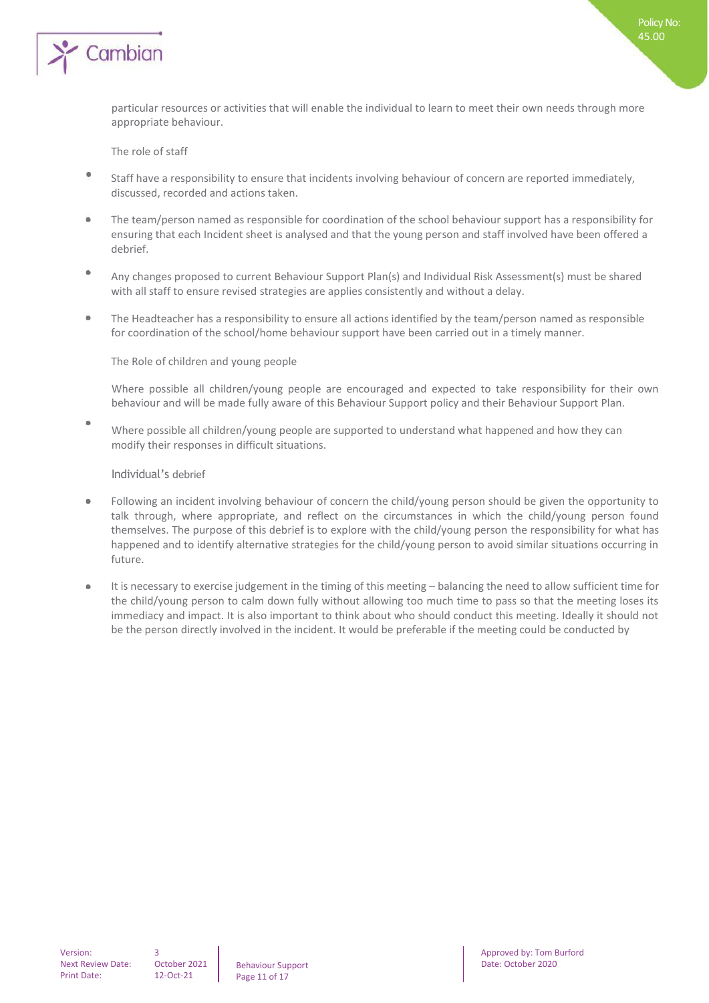

The role of staff

- $\bullet$ Staff have a responsibility to ensure that incidents involving behaviour of concern are reported immediately, discussed, recorded and actions taken.
- $\overline{\phantom{a}}$ The team/person named as responsible for coordination of the school behaviour support has a responsibility for ensuring that each Incident sheet is analysed and that the young person and staff involved have been offered a debrief.
- ٠ Any changes proposed to current Behaviour Support Plan(s) and Individual Risk Assessment(s) must be shared with all staff to ensure revised strategies are applies consistently and without a delay.
- The Headteacher has a responsibility to ensure all actions identified by the team/person named as responsible for coordination of the school/home behaviour support have been carried out in a timely manner.

The Role of children and young people

Where possible all children/young people are encouraged and expected to take responsibility for their own behaviour and will be made fully aware of this Behaviour Support policy and their Behaviour Support Plan.

 $\Phi$ Where possible all children/young people are supported to understand what happened and how they can modify their responses in difficult situations.

Individual's debrief

- $\bullet$ Following an incident involving behaviour of concern the child/young person should be given the opportunity to talk through, where appropriate, and reflect on the circumstances in which the child/young person found themselves. The purpose of this debrief is to explore with the child/young person the responsibility for what has happened and to identify alternative strategies for the child/young person to avoid similar situations occurring in future.
- It is necessary to exercise judgement in the timing of this meeting balancing the need to allow sufficient time for  $\ddot{\phantom{a}}$ the child/young person to calm down fully without allowing too much time to pass so that the meeting loses its immediacy and impact. It is also important to think about who should conduct this meeting. Ideally it should not be the person directly involved in the incident. It would be preferable if the meeting could be conducted by

3

Behaviour Support Page 11 of 17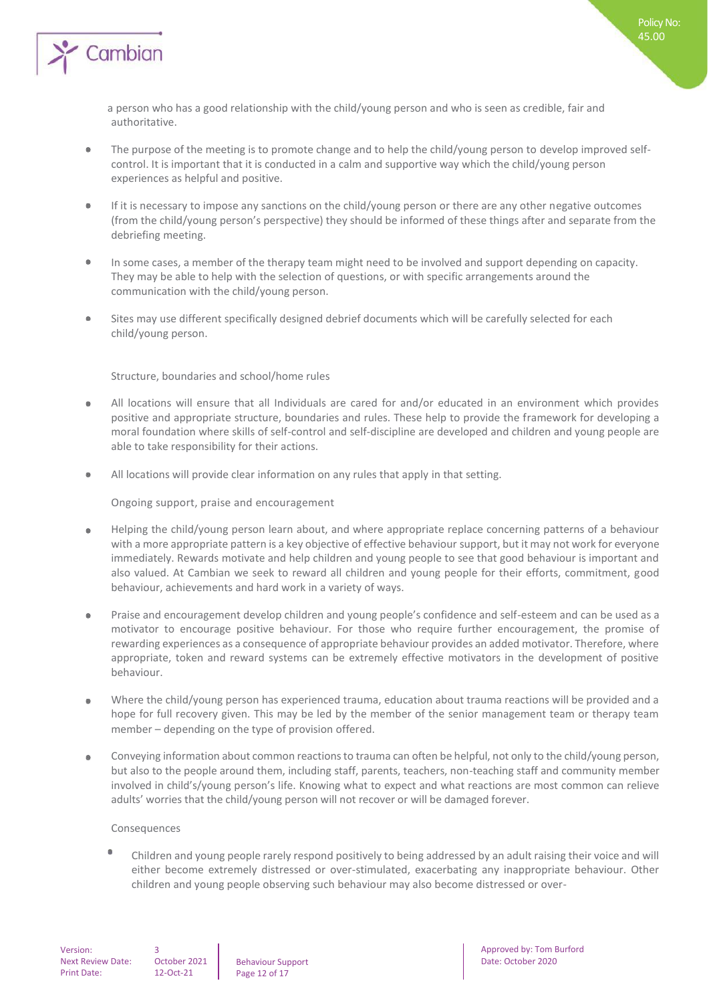

- The purpose of the meeting is to promote change and to help the child/young person to develop improved selfcontrol. It is important that it is conducted in a calm and supportive way which the child/young person experiences as helpful and positive.
- $\bullet$ If it is necessary to impose any sanctions on the child/young person or there are any other negative outcomes (from the child/young person's perspective) they should be informed of these things after and separate from the debriefing meeting.
- In some cases, a member of the therapy team might need to be involved and support depending on capacity. ۰ They may be able to help with the selection of questions, or with specific arrangements around the communication with the child/young person.
- Sites may use different specifically designed debrief documents which will be carefully selected for each  $\Phi$ child/young person.

## Structure, boundaries and school/home rules

- All locations will ensure that all Individuals are cared for and/or educated in an environment which provides  $\bullet$ positive and appropriate structure, boundaries and rules. These help to provide the framework for developing a moral foundation where skills of self-control and self-discipline are developed and children and young people are able to take responsibility for their actions.
- $\bullet$ All locations will provide clear information on any rules that apply in that setting.

Ongoing support, praise and encouragement

- Helping the child/young person learn about, and where appropriate replace concerning patterns of a behaviour  $\bullet$ with a more appropriate pattern is a key objective of effective behaviour support, but it may not work for everyone immediately. Rewards motivate and help children and young people to see that good behaviour is important and also valued. At Cambian we seek to reward all children and young people for their efforts, commitment, good behaviour, achievements and hard work in a variety of ways.
- Praise and encouragement develop children and young people's confidence and self-esteem and can be used as a  $\bullet$ motivator to encourage positive behaviour. For those who require further encouragement, the promise of rewarding experiences as a consequence of appropriate behaviour provides an added motivator. Therefore, where appropriate, token and reward systems can be extremely effective motivators in the development of positive behaviour.
- Where the child/young person has experienced trauma, education about trauma reactions will be provided and a  $\bullet$ hope for full recovery given. This may be led by the member of the senior management team or therapy team member – depending on the type of provision offered.
- Conveying information about common reactions to trauma can often be helpful, not only to the child/young person,  $\ddot{\phantom{a}}$ but also to the people around them, including staff, parents, teachers, non-teaching staff and community member involved in child's/young person's life. Knowing what to expect and what reactions are most common can relieve adults' worries that the child/young person will not recover or will be damaged forever.

### Consequences

Children and young people rarely respond positively to being addressed by an adult raising their voice and will either become extremely distressed or over-stimulated, exacerbating any inappropriate behaviour. Other children and young people observing such behaviour may also become distressed or over-

Behaviour Support Page 12 of 17

Approved by: Tom Burford Date: October 2020

Policy No: 45.00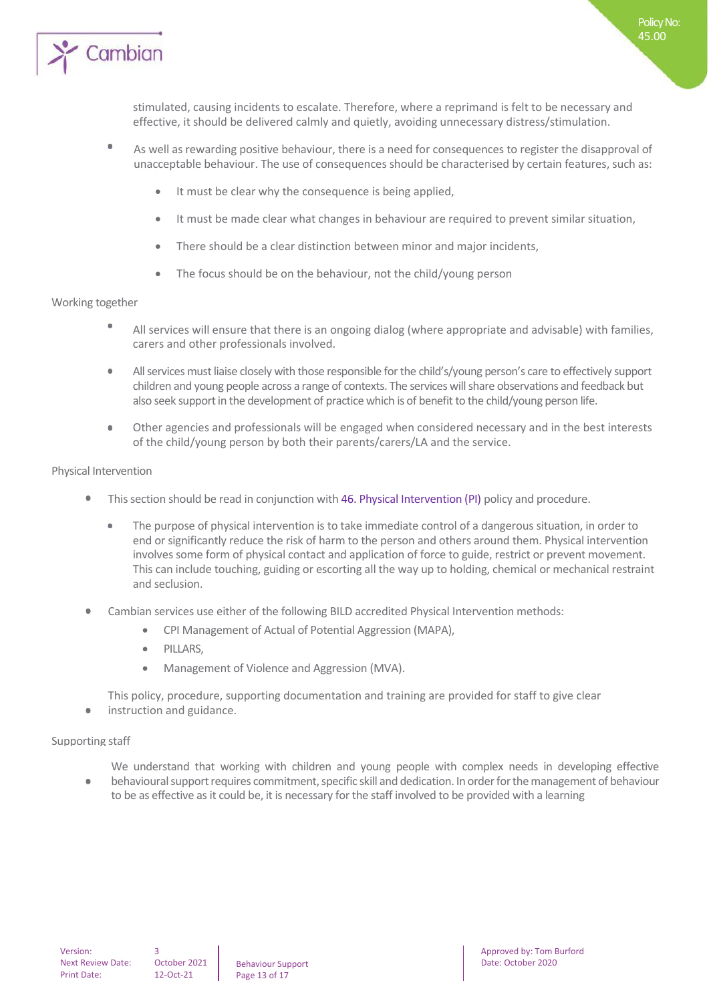

- $\circ$ As well as rewarding positive behaviour, there is a need for consequences to register the disapproval of unacceptable behaviour. The use of consequences should be characterised by certain features, such as:
	- It must be clear why the consequence is being applied,
	- It must be made clear what changes in behaviour are required to prevent similar situation,
	- There should be a clear distinction between minor and major incidents,
	- The focus should be on the behaviour, not the child/young person

### Working together

- All services will ensure that there is an ongoing dialog (where appropriate and advisable) with families, carers and other professionals involved.
- All services must liaise closely with those responsible for the child's/young person's care to effectively support children and young people across a range of contexts. The services will share observations and feedback but also seek support in the development of practice which is of benefit to the child/young person life.
- Other agencies and professionals will be engaged when considered necessary and in the best interests of the child/young person by both their parents/carers/LA and the service.

## Physical Intervention

- This section should be read in conjunction with 46. Physical Intervention (PI) policy and procedure.
	- The purpose of physical intervention is to take immediate control of a dangerous situation, in order to end or significantly reduce the risk of harm to the person and others around them. Physical intervention involves some form of physical contact and application of force to guide, restrict or prevent movement. This can include touching, guiding or escorting all the way up to holding, chemical or mechanical restraint and seclusion.
- Cambian services use either of the following BILD accredited Physical Intervention methods:
	- CPI Management of Actual of Potential Aggression (MAPA),
	- PILLARS.
	- Management of Violence and Aggression (MVA).

This policy, procedure, supporting documentation and training are provided for staff to give clear

instruction and guidance.  $\bullet$ 

### Supporting staff

- We understand that working with children and young people with complex needs in developing effective
- behavioural support requires commitment, specific skill and dedication. In order for the management of behaviour to be as effective as it could be, it is necessary for the staff involved to be provided with a learning

3

Behaviour Support Page 13 of 17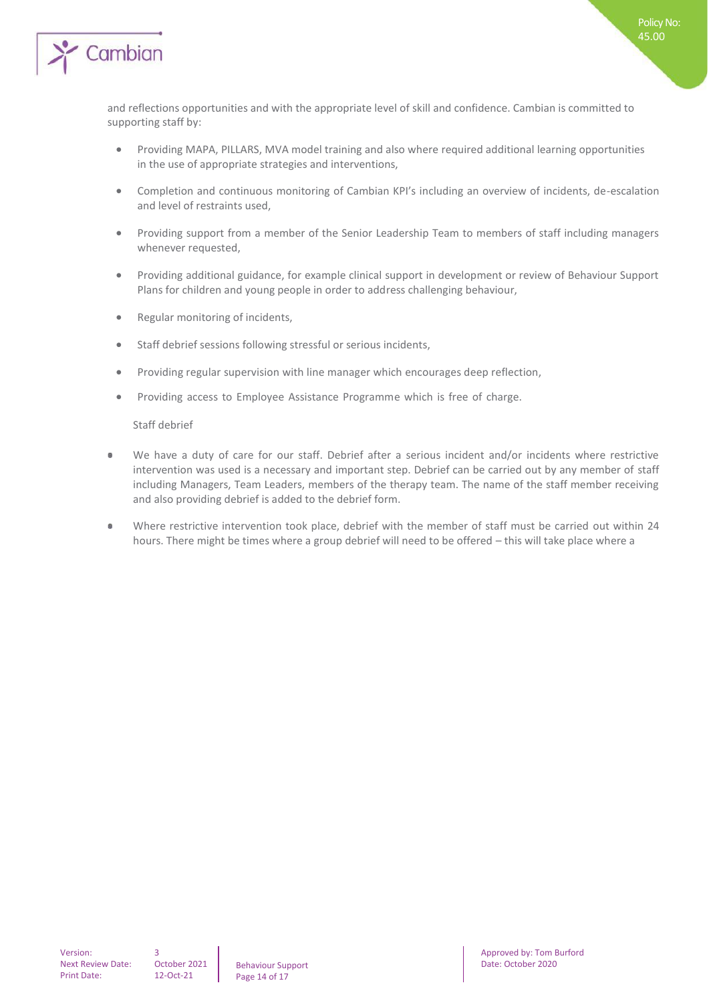

- Providing MAPA, PILLARS, MVA model training and also where required additional learning opportunities in the use of appropriate strategies and interventions,
- Completion and continuous monitoring of Cambian KPI's including an overview of incidents, de-escalation and level of restraints used,
- Providing support from a member of the Senior Leadership Team to members of staff including managers whenever requested,
- Providing additional guidance, for example clinical support in development or review of Behaviour Support Plans for children and young people in order to address challenging behaviour,
- Regular monitoring of incidents,
- Staff debrief sessions following stressful or serious incidents,
- Providing regular supervision with line manager which encourages deep reflection,
- Providing access to Employee Assistance Programme which is free of charge.

Staff debrief

- We have a duty of care for our staff. Debrief after a serious incident and/or incidents where restrictive intervention was used is a necessary and important step. Debrief can be carried out by any member of staff including Managers, Team Leaders, members of the therapy team. The name of the staff member receiving and also providing debrief is added to the debrief form.
- $\bullet$ Where restrictive intervention took place, debrief with the member of staff must be carried out within 24 hours. There might be times where a group debrief will need to be offered – this will take place where a

3

Behaviour Support Page 14 of 17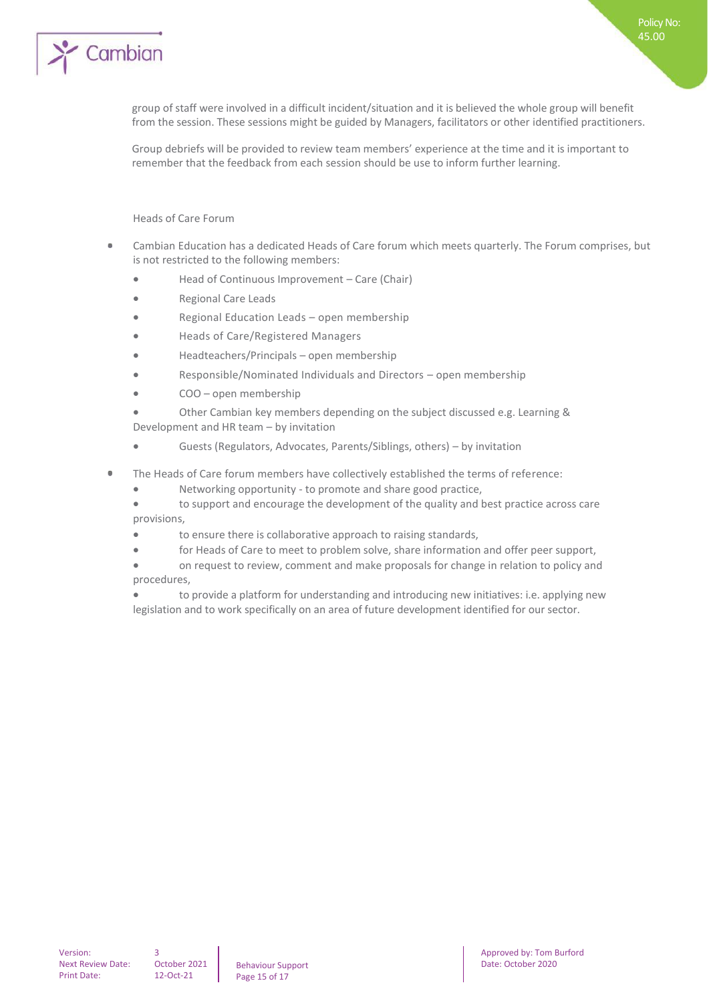

group of staff were involved in a difficult incident/situation and it is believed the whole group will benefit from the session. These sessions might be guided by Managers, facilitators or other identified practitioners.

Policy No: 45.00

Group debriefs will be provided to review team members' experience at the time and it is important to remember that the feedback from each session should be use to inform further learning.

Heads of Care Forum

- Cambian Education has a dedicated Heads of Care forum which meets quarterly. The Forum comprises, but is not restricted to the following members:
	- Head of Continuous Improvement Care (Chair)
	- Regional Care Leads
	- Regional Education Leads open membership
	- Heads of Care/Registered Managers
	- Headteachers/Principals open membership
	- Responsible/Nominated Individuals and Directors open membership
	- COO open membership

• Other Cambian key members depending on the subject discussed e.g. Learning & Development and HR team – by invitation

- Guests (Regulators, Advocates, Parents/Siblings, others) by invitation
- $\bullet$ The Heads of Care forum members have collectively established the terms of reference:
	- Networking opportunity to promote and share good practice,
	- to support and encourage the development of the quality and best practice across care provisions,
	- to ensure there is collaborative approach to raising standards,
	- for Heads of Care to meet to problem solve, share information and offer peer support,
	- on request to review, comment and make proposals for change in relation to policy and procedures,
	- to provide a platform for understanding and introducing new initiatives: i.e. applying new legislation and to work specifically on an area of future development identified for our sector.

October 2021 12-Oct-21

3

Behaviour Support Page 15 of 17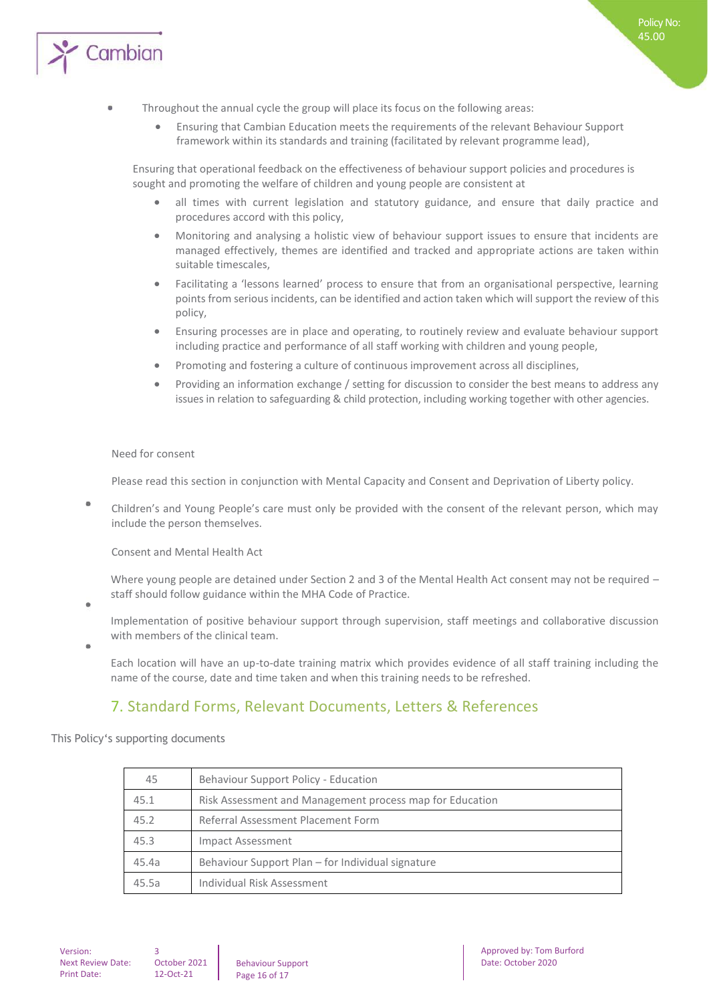

### Throughout the annual cycle the group will place its focus on the following areas:

• Ensuring that Cambian Education meets the requirements of the relevant Behaviour Support framework within its standards and training (facilitated by relevant programme lead),

Ensuring that operational feedback on the effectiveness of behaviour support policies and procedures is sought and promoting the welfare of children and young people are consistent at

- all times with current legislation and statutory guidance, and ensure that daily practice and procedures accord with this policy,
- Monitoring and analysing a holistic view of behaviour support issues to ensure that incidents are managed effectively, themes are identified and tracked and appropriate actions are taken within suitable timescales,
- Facilitating a 'lessons learned' process to ensure that from an organisational perspective, learning points from serious incidents, can be identified and action taken which will support the review of this policy,
- Ensuring processes are in place and operating, to routinely review and evaluate behaviour support including practice and performance of all staff working with children and young people,
- Promoting and fostering a culture of continuous improvement across all disciplines,
- Providing an information exchange / setting for discussion to consider the best means to address any issues in relation to safeguarding & child protection, including working together with other agencies.

#### Need for consent

Please read this section in conjunction with Mental Capacity and Consent and Deprivation of Liberty policy.

 $\Phi$ Children's and Young People's care must only be provided with the consent of the relevant person, which may include the person themselves.

Consent and Mental Health Act

Where young people are detained under Section 2 and 3 of the Mental Health Act consent may not be required staff should follow guidance within the MHA Code of Practice.

 $\ddot{\phantom{a}}$ 

Implementation of positive behaviour support through supervision, staff meetings and collaborative discussion with members of the clinical team.

Each location will have an up-to-date training matrix which provides evidence of all staff training including the name of the course, date and time taken and when this training needs to be refreshed.

## 7. Standard Forms, Relevant Documents, Letters & References

This Policy's supporting documents

| 45    | Behaviour Support Policy - Education                     |
|-------|----------------------------------------------------------|
| 45.1  | Risk Assessment and Management process map for Education |
| 45.2  | Referral Assessment Placement Form                       |
| 45.3  | Impact Assessment                                        |
| 45.4a | Behaviour Support Plan – for Individual signature        |
| 45.5a | Individual Risk Assessment                               |

October 2021 12-Oct-21

3

Behaviour Support Page 16 of 17